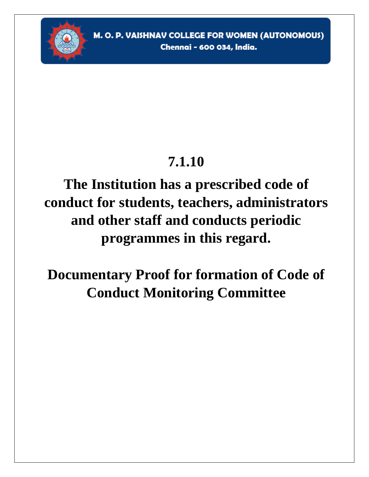

## **7.1.10**

## **The Institution has a prescribed code of conduct for students, teachers, administrators and other staff and conducts periodic programmes in this regard.**

**Documentary Proof for formation of Code of Conduct Monitoring Committee**